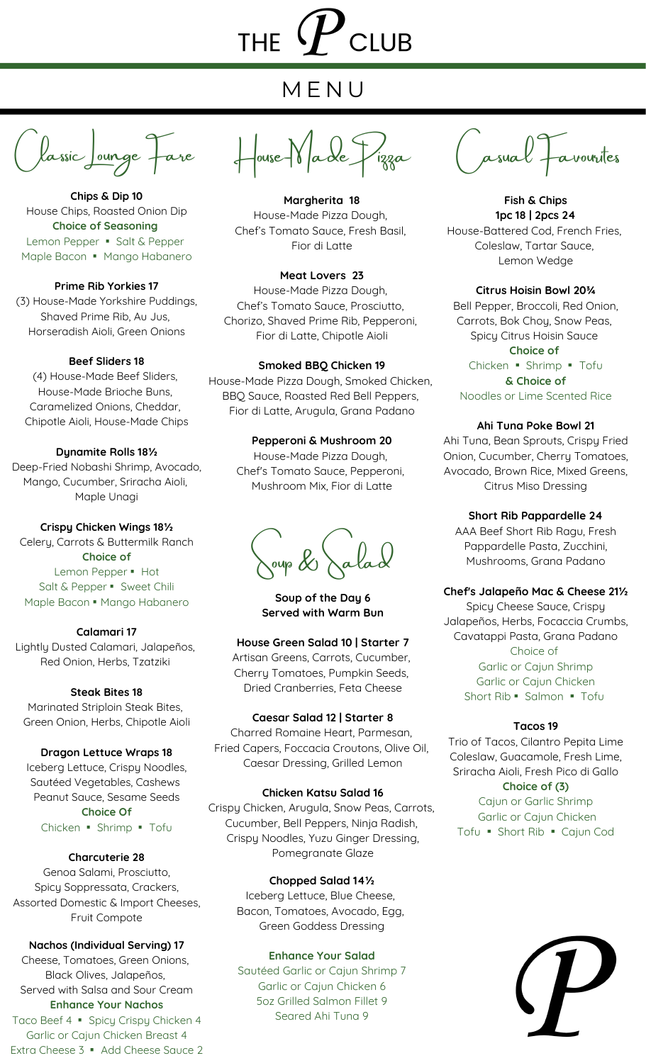## THE  $\boldsymbol{\mathcal{P}}$  club

### M E N U

lassic Lounge Fare

**Chips & Dip 10** House Chips, Roasted Onion Dip **Choice of Seasoning** Lemon Pepper · Salt & Pepper Maple Bacon · Mango Habanero

**Prime Rib Yorkies 17** (3) House-Made Yorkshire Puddings, Shaved Prime Rib, Au Jus, Horseradish Aioli, Green Onions

#### **Beef Sliders 18**

(4) House-Made Beef Sliders, House-Made Brioche Buns, Caramelized Onions, Cheddar, Chipotle Aioli, House-Made Chips

#### **Dynamite Rolls 18½**

Deep-Fried Nobashi Shrimp, Avocado, Mango, Cucumber, Sriracha Aioli, Maple Unagi

**Crispy Chicken Wings 18½** Celery, Carrots & Buttermilk Ranch **Choice of**

Lemon Pepper · Hot Salt & Pepper · Sweet Chili Maple Bacon · Mango Habanero

**Calamari 17** Lightly Dusted Calamari, Jalapeños, Red Onion, Herbs, Tzatziki

**Steak Bites 18**

Marinated Striploin Steak Bites, Green Onion, Herbs, Chipotle Aioli

#### **Dragon Lettuce Wraps 18**

Iceberg Lettuce, Crispy Noodles, Sautéed Vegetables, Cashews Peanut Sauce, Sesame Seeds **Choice Of** Chicken ▪ Shrimp ▪ Tofu

#### **Charcuterie 28**

Genoa Salami, Prosciutto, Spicy Soppressata, Crackers, Assorted Domestic & Import Cheeses, Fruit Compote

#### **Nachos (Individual Serving) 17**

Cheese, Tomatoes, Green Onions, Black Olives, Jalapeños, Served with Salsa and Sour Cream **Enhance Your Nachos** Taco Beef 4 · Spicy Crispy Chicken 4 Garlic or Cajun Chicken Breast 4 Extra Cheese 3 • Add Cheese Sauce 2

House-Made Pizza Casual Favourites

**Margherita 18** House-Made Pizza Dough, Chef's Tomato Sauce, Fresh Basil, Fior di Latte

**Meat Lovers 23**

House-Made Pizza Dough, Chef's Tomato Sauce, Prosciutto, Chorizo, Shaved Prime Rib, Pepperoni, Fior di Latte, Chipotle Aioli

#### **Smoked BBQ Chicken 19**

House-Made Pizza Dough, Smoked Chicken, BBQ Sauce, Roasted Red Bell Peppers, Fior di Latte, Arugula, Grana Padano

#### **Pepperoni & Mushroom 20**

House-Made Pizza Dough, Chef's Tomato Sauce, Pepperoni, Mushroom Mix, Fior di Latte

 $\omega$   $\&$ 

**Soup of the Day 6 Served with Warm Bun**

#### **House Green Salad 10 | Starter 7**

Artisan Greens, Carrots, Cucumber, Cherry Tomatoes, Pumpkin Seeds, Dried Cranberries, Feta Cheese

#### **Caesar Salad 12 | Starter 8**

Charred Romaine Heart, Parmesan, Fried Capers, Foccacia Croutons, Olive Oil, Caesar Dressing, Grilled Lemon

#### **Chicken Katsu Salad 16**

Crispy Chicken, Arugula, Snow Peas, Carrots, Cucumber, Bell Peppers, Ninja Radish, Crispy Noodles, Yuzu Ginger Dressing, Pomegranate Glaze

#### **Chopped Salad 14½**

Iceberg Lettuce, Blue Cheese, Bacon, Tomatoes, Avocado, Egg, Green Goddess Dressing

#### **Enhance Your Salad**

Sautéed Garlic or Cajun Shrimp 7 Garlic or Cajun Chicken 6 5oz Grilled Salmon Fillet 9 Seared Ahi Tuna 9

**Fish & Chips 1pc 18 | 2pcs 24** House-Battered Cod, French Fries, Coleslaw, Tartar Sauce, Lemon Wedge

**Citrus Hoisin Bowl 20¾**

Bell Pepper, Broccoli, Red Onion, Carrots, Bok Choy, Snow Peas, Spicy Citrus Hoisin Sauce **Choice of** Chicken ▪ Shrimp ▪ Tofu **& Choice of** Noodles or Lime Scented Rice

#### **Ahi Tuna Poke Bowl 21**

Ahi Tuna, Bean Sprouts, Crispy Fried Onion, Cucumber, Cherry Tomatoes, Avocado, Brown Rice, Mixed Greens, Citrus Miso Dressing

#### **Short Rib Pappardelle 24**

AAA Beef Short Rib Ragu, Fresh Pappardelle Pasta, Zucchini, Mushrooms, Grana Padano

#### **Chef's Jalapeño Mac & Cheese 21½**

Spicy Cheese Sauce, Crispy Jalapeños, Herbs, Focaccia Crumbs, Cavatappi Pasta, Grana Padano Choice of Garlic or Cajun Shrimp Garlic or Cajun Chicken Short Rib · Salmon · Tofu

#### **Tacos 19**

Trio of Tacos, Cilantro Pepita Lime Coleslaw, Guacamole, Fresh Lime, Sriracha Aioli, Fresh Pico di Gallo

**Choice of (3)** Cajun or Garlic Shrimp Garlic or Cajun Chicken Tofu ▪ Short Rib ▪ Cajun Cod